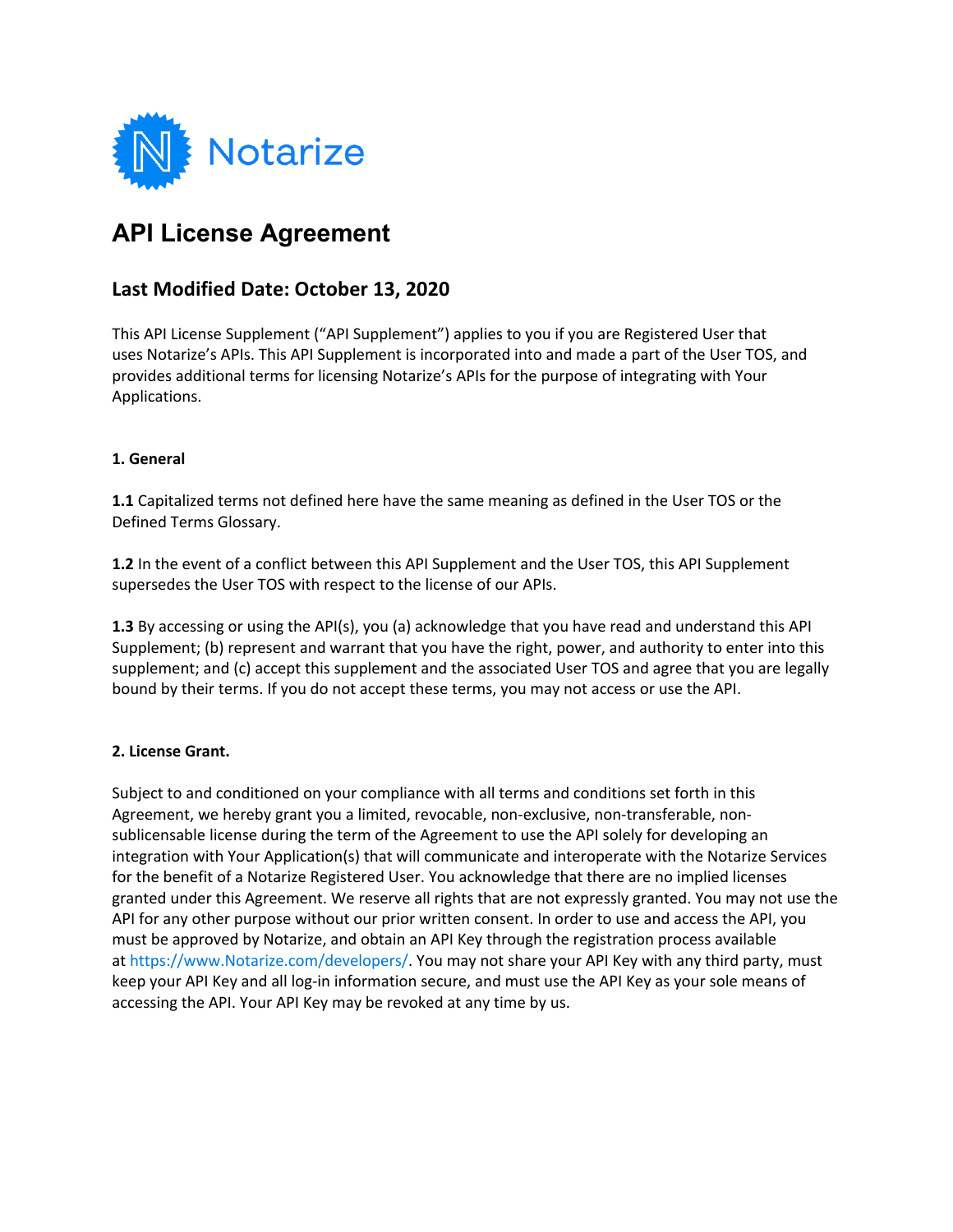

# **API License Agreement**

# **Last Modified Date: October 13, 2020**

This API License Supplement ("API Supplement") applies to you if you are Registered User that uses Notarize's APIs. This API Supplement is incorporated into and made a part of the User TOS, and provides additional terms for licensing Notarize's APIs for the purpose of integrating with Your Applications.

## **1. General**

**1.1** Capitalized terms not defined here have the same meaning as defined in the User TOS or the Defined Terms Glossary.

**1.2** In the event of a conflict between this API Supplement and the User TOS, this API Supplement supersedes the User TOS with respect to the license of our APIs.

**1.3** By accessing or using the API(s), you (a) acknowledge that you have read and understand this API Supplement; (b) represent and warrant that you have the right, power, and authority to enter into this supplement; and (c) accept this supplement and the associated User TOS and agree that you are legally bound by their terms. If you do not accept these terms, you may not access or use the API.

### **2. License Grant.**

Subject to and conditioned on your compliance with all terms and conditions set forth in this Agreement, we hereby grant you a limited, revocable, non-exclusive, non-transferable, nonsublicensable license during the term of the Agreement to use the API solely for developing an integration with Your Application(s) that will communicate and interoperate with the Notarize Services for the benefit of a Notarize Registered User. You acknowledge that there are no implied licenses granted under this Agreement. We reserve all rights that are not expressly granted. You may not use the API for any other purpose without our prior written consent. In order to use and access the API, you must be approved by Notarize, and obtain an API Key through the registration process available at https://www.Notarize.com/developers/. You may not share your API Key with any third party, must keep your API Key and all log-in information secure, and must use the API Key as your sole means of accessing the API. Your API Key may be revoked at any time by us.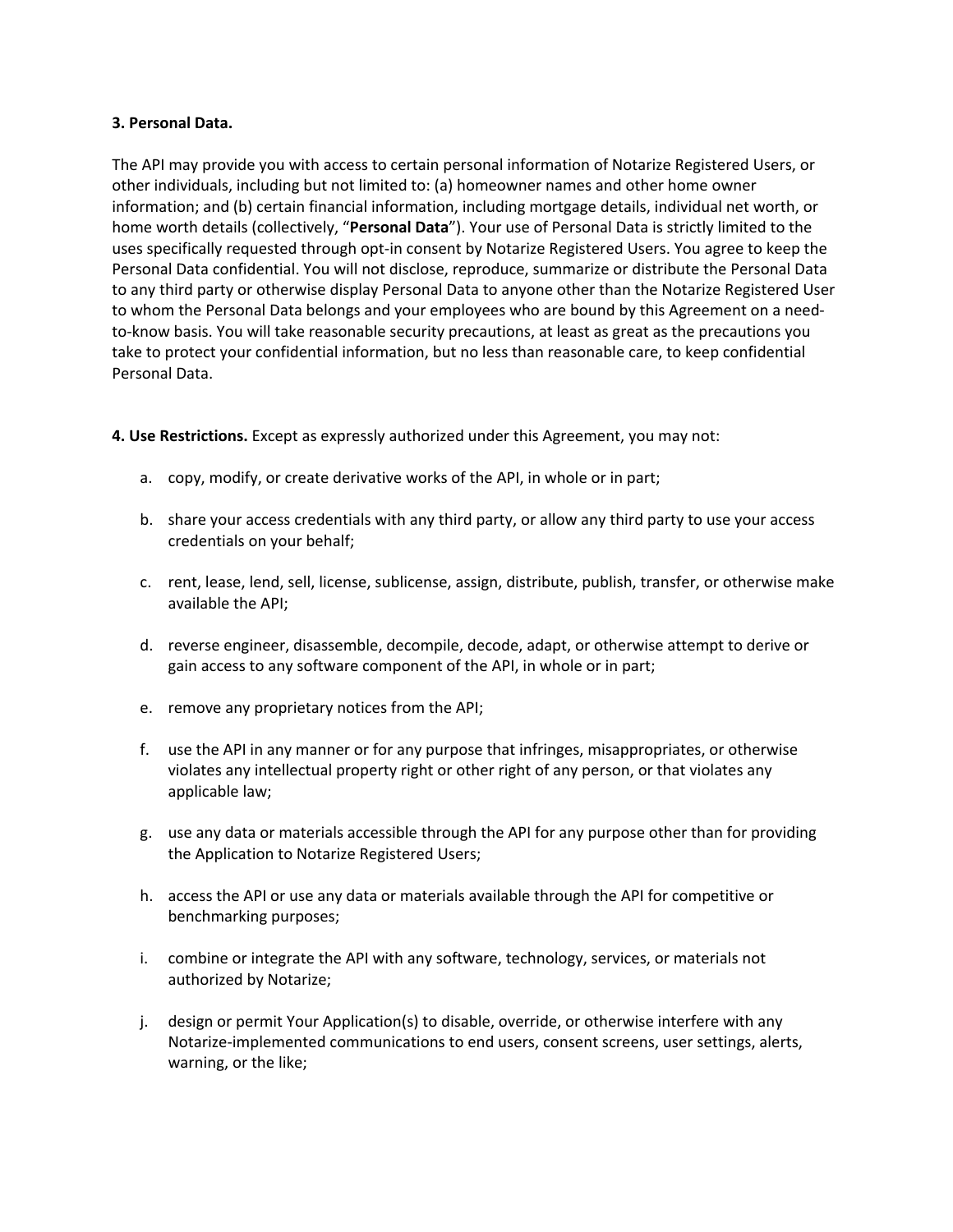#### **3. Personal Data.**

The API may provide you with access to certain personal information of Notarize Registered Users, or other individuals, including but not limited to: (a) homeowner names and other home owner information; and (b) certain financial information, including mortgage details, individual net worth, or home worth details (collectively, "**Personal Data**"). Your use of Personal Data is strictly limited to the uses specifically requested through opt-in consent by Notarize Registered Users. You agree to keep the Personal Data confidential. You will not disclose, reproduce, summarize or distribute the Personal Data to any third party or otherwise display Personal Data to anyone other than the Notarize Registered User to whom the Personal Data belongs and your employees who are bound by this Agreement on a needto-know basis. You will take reasonable security precautions, at least as great as the precautions you take to protect your confidential information, but no less than reasonable care, to keep confidential Personal Data.

**4. Use Restrictions.** Except as expressly authorized under this Agreement, you may not:

- a. copy, modify, or create derivative works of the API, in whole or in part;
- b. share your access credentials with any third party, or allow any third party to use your access credentials on your behalf;
- c. rent, lease, lend, sell, license, sublicense, assign, distribute, publish, transfer, or otherwise make available the API;
- d. reverse engineer, disassemble, decompile, decode, adapt, or otherwise attempt to derive or gain access to any software component of the API, in whole or in part;
- e. remove any proprietary notices from the API;
- f. use the API in any manner or for any purpose that infringes, misappropriates, or otherwise violates any intellectual property right or other right of any person, or that violates any applicable law;
- g. use any data or materials accessible through the API for any purpose other than for providing the Application to Notarize Registered Users;
- h. access the API or use any data or materials available through the API for competitive or benchmarking purposes;
- i. combine or integrate the API with any software, technology, services, or materials not authorized by Notarize;
- j. design or permit Your Application(s) to disable, override, or otherwise interfere with any Notarize-implemented communications to end users, consent screens, user settings, alerts, warning, or the like;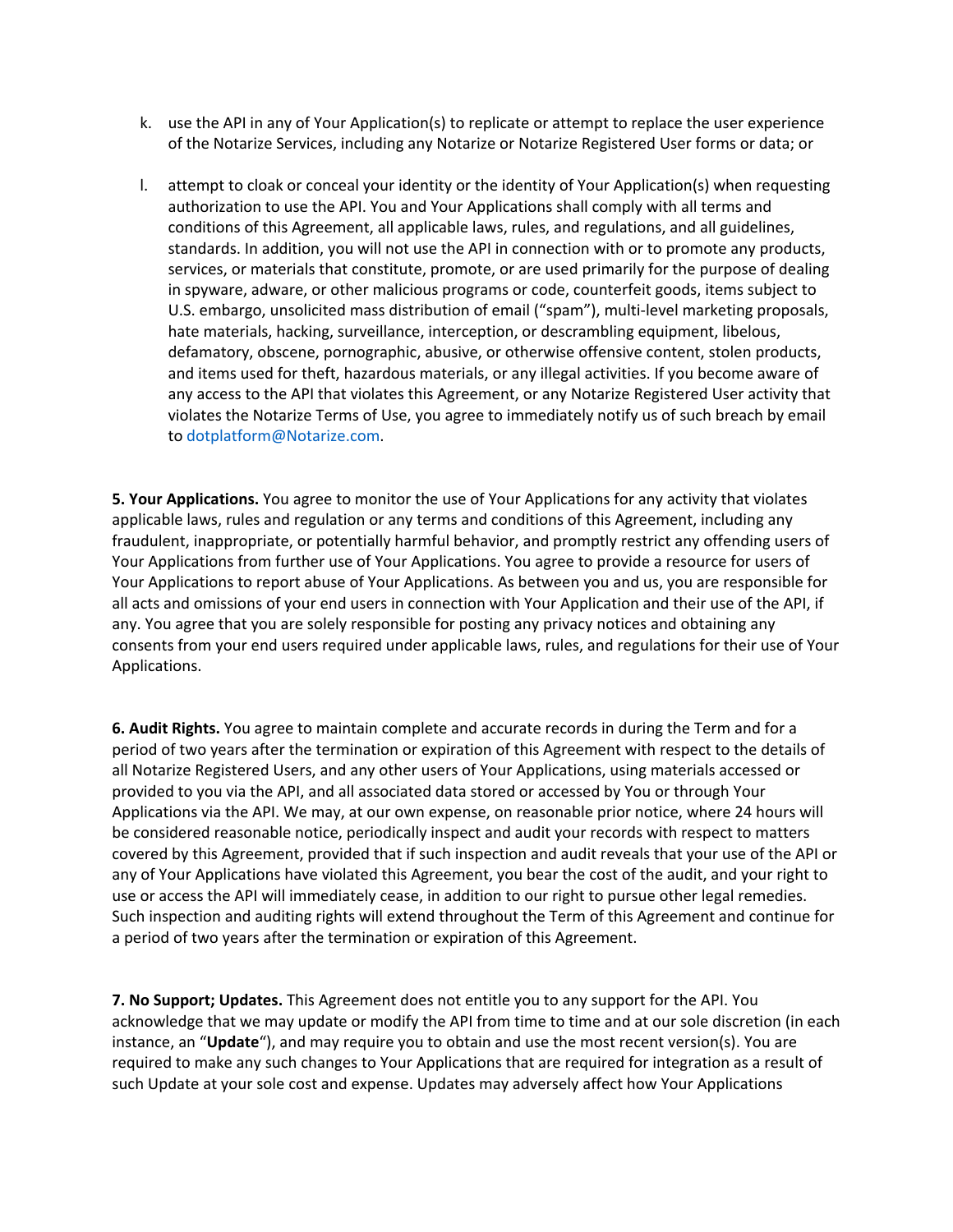- k. use the API in any of Your Application(s) to replicate or attempt to replace the user experience of the Notarize Services, including any Notarize or Notarize Registered User forms or data; or
- l. attempt to cloak or conceal your identity or the identity of Your Application(s) when requesting authorization to use the API. You and Your Applications shall comply with all terms and conditions of this Agreement, all applicable laws, rules, and regulations, and all guidelines, standards. In addition, you will not use the API in connection with or to promote any products, services, or materials that constitute, promote, or are used primarily for the purpose of dealing in spyware, adware, or other malicious programs or code, counterfeit goods, items subject to U.S. embargo, unsolicited mass distribution of email ("spam"), multi-level marketing proposals, hate materials, hacking, surveillance, interception, or descrambling equipment, libelous, defamatory, obscene, pornographic, abusive, or otherwise offensive content, stolen products, and items used for theft, hazardous materials, or any illegal activities. If you become aware of any access to the API that violates this Agreement, or any Notarize Registered User activity that violates the Notarize Terms of Use, you agree to immediately notify us of such breach by email to dotplatform@Notarize.com.

**5. Your Applications.** You agree to monitor the use of Your Applications for any activity that violates applicable laws, rules and regulation or any terms and conditions of this Agreement, including any fraudulent, inappropriate, or potentially harmful behavior, and promptly restrict any offending users of Your Applications from further use of Your Applications. You agree to provide a resource for users of Your Applications to report abuse of Your Applications. As between you and us, you are responsible for all acts and omissions of your end users in connection with Your Application and their use of the API, if any. You agree that you are solely responsible for posting any privacy notices and obtaining any consents from your end users required under applicable laws, rules, and regulations for their use of Your Applications.

**6. Audit Rights.** You agree to maintain complete and accurate records in during the Term and for a period of two years after the termination or expiration of this Agreement with respect to the details of all Notarize Registered Users, and any other users of Your Applications, using materials accessed or provided to you via the API, and all associated data stored or accessed by You or through Your Applications via the API. We may, at our own expense, on reasonable prior notice, where 24 hours will be considered reasonable notice, periodically inspect and audit your records with respect to matters covered by this Agreement, provided that if such inspection and audit reveals that your use of the API or any of Your Applications have violated this Agreement, you bear the cost of the audit, and your right to use or access the API will immediately cease, in addition to our right to pursue other legal remedies. Such inspection and auditing rights will extend throughout the Term of this Agreement and continue for a period of two years after the termination or expiration of this Agreement.

**7. No Support; Updates.** This Agreement does not entitle you to any support for the API. You acknowledge that we may update or modify the API from time to time and at our sole discretion (in each instance, an "**Update**"), and may require you to obtain and use the most recent version(s). You are required to make any such changes to Your Applications that are required for integration as a result of such Update at your sole cost and expense. Updates may adversely affect how Your Applications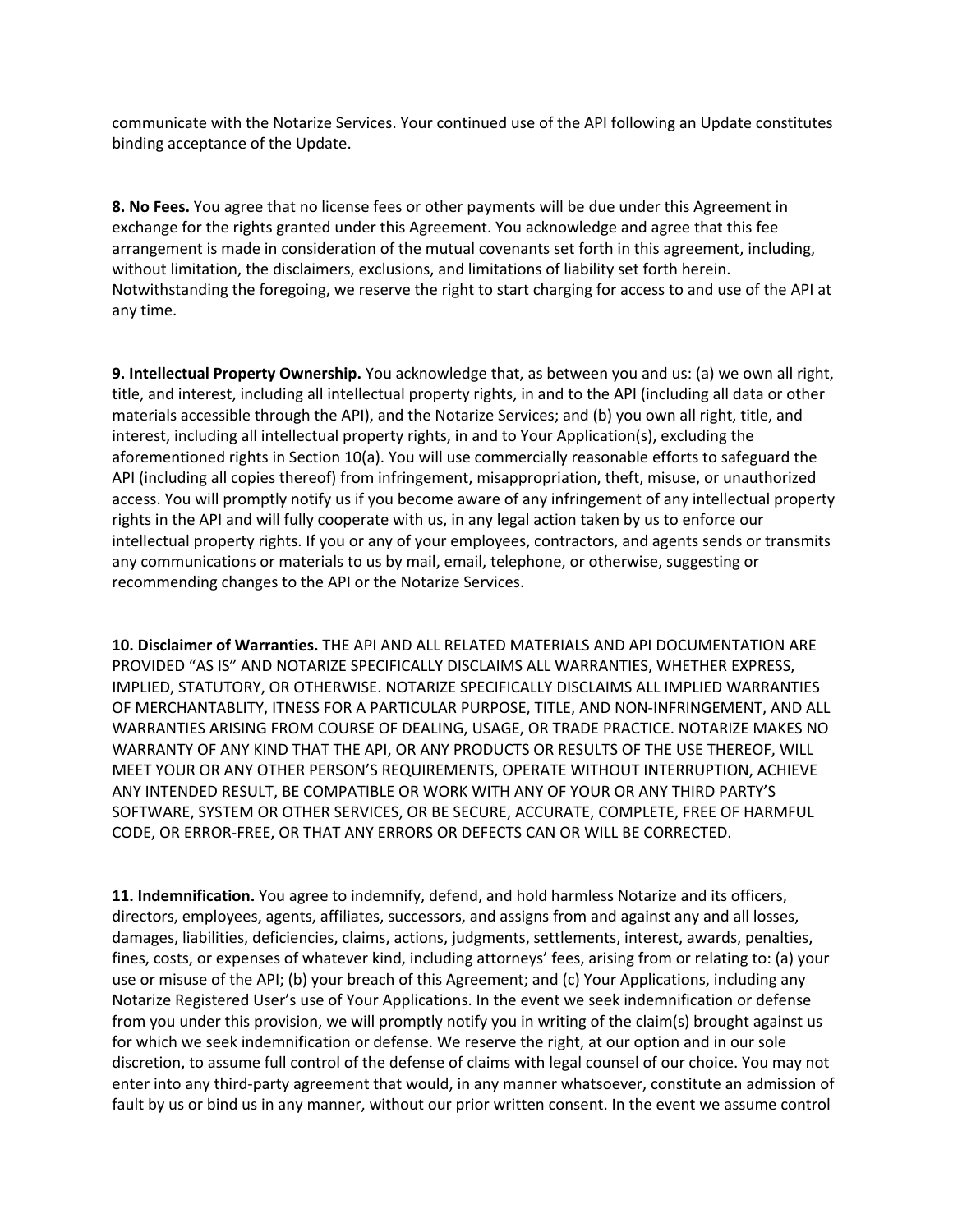communicate with the Notarize Services. Your continued use of the API following an Update constitutes binding acceptance of the Update.

**8. No Fees.** You agree that no license fees or other payments will be due under this Agreement in exchange for the rights granted under this Agreement. You acknowledge and agree that this fee arrangement is made in consideration of the mutual covenants set forth in this agreement, including, without limitation, the disclaimers, exclusions, and limitations of liability set forth herein. Notwithstanding the foregoing, we reserve the right to start charging for access to and use of the API at any time.

**9. Intellectual Property Ownership.** You acknowledge that, as between you and us: (a) we own all right, title, and interest, including all intellectual property rights, in and to the API (including all data or other materials accessible through the API), and the Notarize Services; and (b) you own all right, title, and interest, including all intellectual property rights, in and to Your Application(s), excluding the aforementioned rights in Section 10(a). You will use commercially reasonable efforts to safeguard the API (including all copies thereof) from infringement, misappropriation, theft, misuse, or unauthorized access. You will promptly notify us if you become aware of any infringement of any intellectual property rights in the API and will fully cooperate with us, in any legal action taken by us to enforce our intellectual property rights. If you or any of your employees, contractors, and agents sends or transmits any communications or materials to us by mail, email, telephone, or otherwise, suggesting or recommending changes to the API or the Notarize Services.

**10. Disclaimer of Warranties.** THE API AND ALL RELATED MATERIALS AND API DOCUMENTATION ARE PROVIDED "AS IS" AND NOTARIZE SPECIFICALLY DISCLAIMS ALL WARRANTIES, WHETHER EXPRESS, IMPLIED, STATUTORY, OR OTHERWISE. NOTARIZE SPECIFICALLY DISCLAIMS ALL IMPLIED WARRANTIES OF MERCHANTABLITY, ITNESS FOR A PARTICULAR PURPOSE, TITLE, AND NON-INFRINGEMENT, AND ALL WARRANTIES ARISING FROM COURSE OF DEALING, USAGE, OR TRADE PRACTICE. NOTARIZE MAKES NO WARRANTY OF ANY KIND THAT THE API, OR ANY PRODUCTS OR RESULTS OF THE USE THEREOF, WILL MEET YOUR OR ANY OTHER PERSON'S REQUIREMENTS, OPERATE WITHOUT INTERRUPTION, ACHIEVE ANY INTENDED RESULT, BE COMPATIBLE OR WORK WITH ANY OF YOUR OR ANY THIRD PARTY'S SOFTWARE, SYSTEM OR OTHER SERVICES, OR BE SECURE, ACCURATE, COMPLETE, FREE OF HARMFUL CODE, OR ERROR-FREE, OR THAT ANY ERRORS OR DEFECTS CAN OR WILL BE CORRECTED.

**11. Indemnification.** You agree to indemnify, defend, and hold harmless Notarize and its officers, directors, employees, agents, affiliates, successors, and assigns from and against any and all losses, damages, liabilities, deficiencies, claims, actions, judgments, settlements, interest, awards, penalties, fines, costs, or expenses of whatever kind, including attorneys' fees, arising from or relating to: (a) your use or misuse of the API; (b) your breach of this Agreement; and (c) Your Applications, including any Notarize Registered User's use of Your Applications. In the event we seek indemnification or defense from you under this provision, we will promptly notify you in writing of the claim(s) brought against us for which we seek indemnification or defense. We reserve the right, at our option and in our sole discretion, to assume full control of the defense of claims with legal counsel of our choice. You may not enter into any third-party agreement that would, in any manner whatsoever, constitute an admission of fault by us or bind us in any manner, without our prior written consent. In the event we assume control